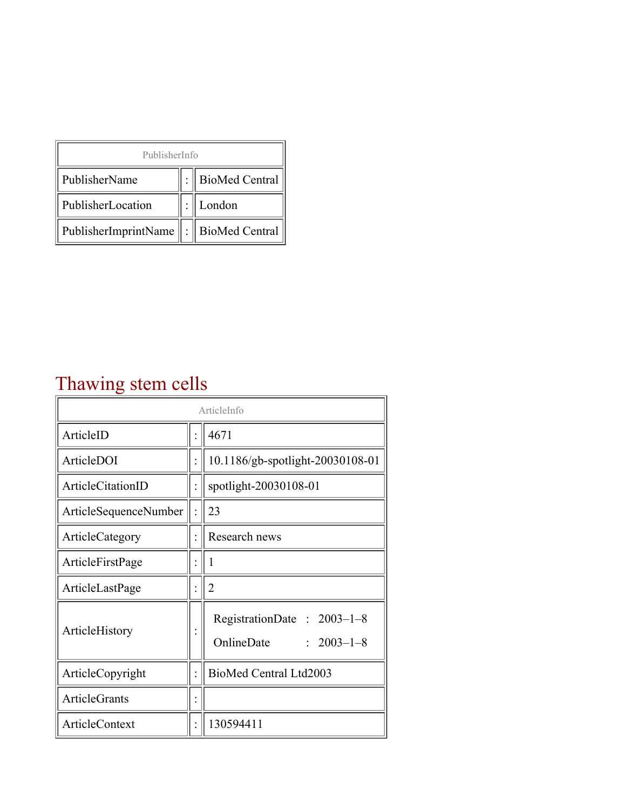| PublisherInfo                         |  |                    |  |  |
|---------------------------------------|--|--------------------|--|--|
| PublisherName                         |  | :   BioMed Central |  |  |
| PublisherLocation                     |  | London             |  |  |
| PublisherImprintName : BioMed Central |  |                    |  |  |

## Thawing stem cells

| ArticleInfo           |  |                                                              |
|-----------------------|--|--------------------------------------------------------------|
| ArticleID             |  | 4671                                                         |
| ArticleDOI            |  | 10.1186/gb-spotlight-20030108-01                             |
| ArticleCitationID     |  | spotlight-20030108-01                                        |
| ArticleSequenceNumber |  | 23                                                           |
| ArticleCategory       |  | Research news                                                |
| ArticleFirstPage      |  | 1                                                            |
| ArticleLastPage       |  | $\overline{2}$                                               |
| ArticleHistory        |  | RegistrationDate: 2003-1-8<br>OnlineDate<br>$: 2003 - 1 - 8$ |
| ArticleCopyright      |  | BioMed Central Ltd2003                                       |
| <b>ArticleGrants</b>  |  |                                                              |
| <b>ArticleContext</b> |  | 130594411                                                    |